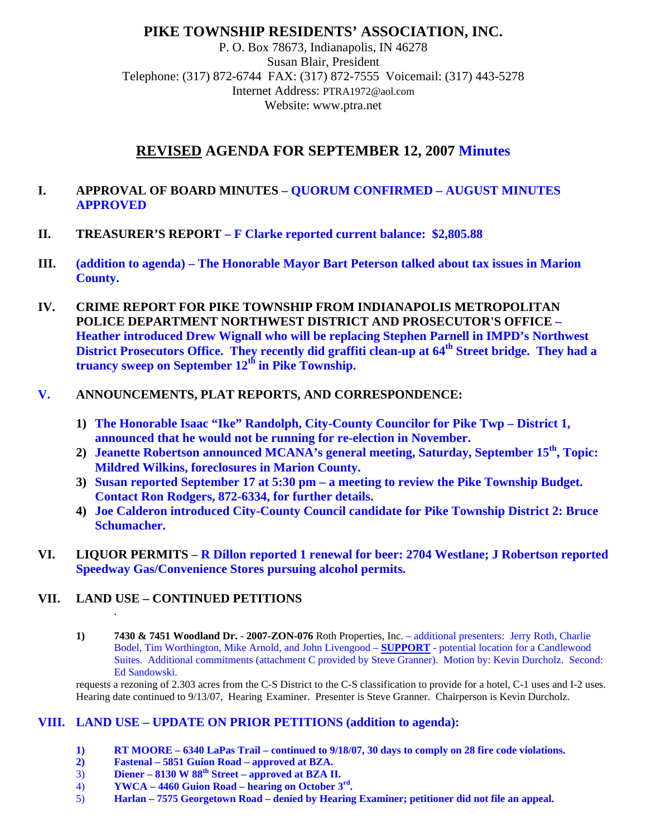## **PIKE TOWNSHIP RESIDENTS' ASSOCIATION, INC.**

P. O. Box 78673, Indianapolis, IN 46278 Susan Blair, President Telephone: (317) 872-6744 FAX: (317) 872-7555 Voicemail: (317) 443-5278 Internet Address: PTRA1972@aol.com Website: www.ptra.net

# **REVISED AGENDA FOR SEPTEMBER 12, 2007 Minutes**

#### **I. APPROVAL OF BOARD MINUTES – QUORUM CONFIRMED – AUGUST MINUTES APPROVED**

- **II. TREASURER'S REPORT F Clarke reported current balance: \$2,805.88**
- **III. (addition to agenda) The Honorable Mayor Bart Peterson talked about tax issues in Marion County.**
- **IV. CRIME REPORT FOR PIKE TOWNSHIP FROM INDIANAPOLIS METROPOLITAN POLICE DEPARTMENT NORTHWEST DISTRICT AND PROSECUTOR'S OFFICE – Heather introduced Drew Wignall who will be replacing Stephen Parnell in IMPD's Northwest District Prosecutors Office. They recently did graffiti clean-up at 64th Street bridge. They had a truancy sweep on September 12th in Pike Township.**

### **V. ANNOUNCEMENTS, PLAT REPORTS, AND CORRESPONDENCE:**

- **1) The Honorable Isaac "Ike" Randolph, City-County Councilor for Pike Twp District 1, announced that he would not be running for re-election in November.**
- 2) **Jeanette Robertson announced MCANA's general meeting, Saturday, September 15<sup>th</sup>, Topic: Mildred Wilkins, foreclosures in Marion County.**
- **3) Susan reported September 17 at 5:30 pm a meeting to review the Pike Township Budget. Contact Ron Rodgers, 872-6334, for further details.**
- **4) Joe Calderon introduced City-County Council candidate for Pike Township District 2: Bruce Schumacher.**
- **VI. LIQUOR PERMITS R Dillon reported 1 renewal for beer: 2704 Westlane; J Robertson reported Speedway Gas/Convenience Stores pursuing alcohol permits.**

### **VII. LAND USE – CONTINUED PETITIONS**

.

**1) 7430 & 7451 Woodland Dr. - 2007-ZON-076** Roth Properties, Inc. – additional presenters: Jerry Roth, Charlie Bodel, Tim Worthington, Mike Arnold, and John Livengood – **SUPPORT** - potential location for a Candlewood Suites. Additional commitments (attachment C provided by Steve Granner). Motion by: Kevin Durcholz. Second: Ed Sandowski.

requests a rezoning of 2.303 acres from the C-S District to the C-S classification to provide for a hotel, C-1 uses and I-2 uses. Hearing date continued to 9/13/07, Hearing Examiner. Presenter is Steve Granner. Chairperson is Kevin Durcholz.

### **VIII. LAND USE – UPDATE ON PRIOR PETITIONS (addition to agenda):**

- **1) RT MOORE 6340 LaPas Trail continued to 9/18/07, 30 days to comply on 28 fire code violations.**
- **2) Fastenal 5851 Guion Road approved at BZA.**
- 3) **Diener 8130 W 88th Street approved at BZA II.**
- 4) **YWCA 4460 Guion Road hearing on October 3rd.**
- 5) **Harlan 7575 Georgetown Road denied by Hearing Examiner; petitioner did not file an appeal.**